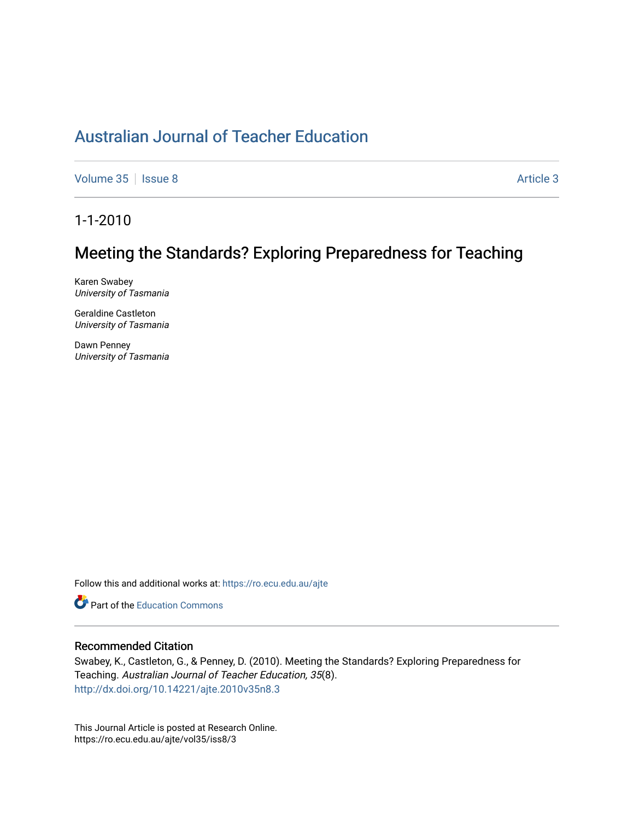## [Australian Journal of Teacher Education](https://ro.ecu.edu.au/ajte)

[Volume 35](https://ro.ecu.edu.au/ajte/vol35) | [Issue 8](https://ro.ecu.edu.au/ajte/vol35/iss8) Article 3

1-1-2010

# Meeting the Standards? Exploring Preparedness for Teaching

Karen Swabey University of Tasmania

Geraldine Castleton University of Tasmania

Dawn Penney University of Tasmania

Follow this and additional works at: [https://ro.ecu.edu.au/ajte](https://ro.ecu.edu.au/ajte?utm_source=ro.ecu.edu.au%2Fajte%2Fvol35%2Fiss8%2F3&utm_medium=PDF&utm_campaign=PDFCoverPages) 

Part of the [Education Commons](http://network.bepress.com/hgg/discipline/784?utm_source=ro.ecu.edu.au%2Fajte%2Fvol35%2Fiss8%2F3&utm_medium=PDF&utm_campaign=PDFCoverPages) 

#### Recommended Citation

Swabey, K., Castleton, G., & Penney, D. (2010). Meeting the Standards? Exploring Preparedness for Teaching. Australian Journal of Teacher Education, 35(8). <http://dx.doi.org/10.14221/ajte.2010v35n8.3>

This Journal Article is posted at Research Online. https://ro.ecu.edu.au/ajte/vol35/iss8/3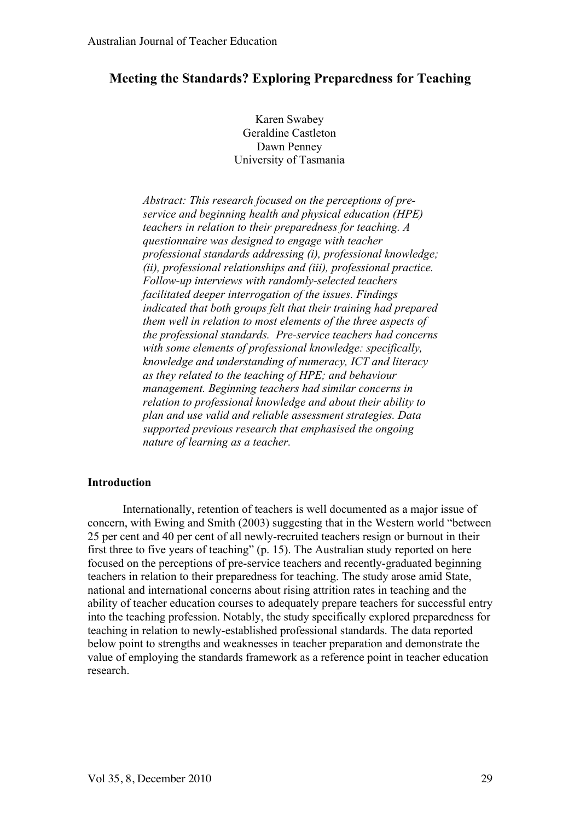## **Meeting the Standards? Exploring Preparedness for Teaching**

Karen Swabey Geraldine Castleton Dawn Penney University of Tasmania

*Abstract: This research focused on the perceptions of preservice and beginning health and physical education (HPE) teachers in relation to their preparedness for teaching. A questionnaire was designed to engage with teacher professional standards addressing (i), professional knowledge; (ii), professional relationships and (iii), professional practice. Follow-up interviews with randomly-selected teachers facilitated deeper interrogation of the issues. Findings indicated that both groups felt that their training had prepared them well in relation to most elements of the three aspects of the professional standards. Pre-service teachers had concerns with some elements of professional knowledge: specifically, knowledge and understanding of numeracy, ICT and literacy as they related to the teaching of HPE; and behaviour management. Beginning teachers had similar concerns in relation to professional knowledge and about their ability to plan and use valid and reliable assessment strategies. Data supported previous research that emphasised the ongoing nature of learning as a teacher.* 

#### **Introduction**

Internationally, retention of teachers is well documented as a major issue of concern, with Ewing and Smith (2003) suggesting that in the Western world "between 25 per cent and 40 per cent of all newly-recruited teachers resign or burnout in their first three to five years of teaching" (p. 15). The Australian study reported on here focused on the perceptions of pre-service teachers and recently-graduated beginning teachers in relation to their preparedness for teaching. The study arose amid State, national and international concerns about rising attrition rates in teaching and the ability of teacher education courses to adequately prepare teachers for successful entry into the teaching profession. Notably, the study specifically explored preparedness for teaching in relation to newly-established professional standards. The data reported below point to strengths and weaknesses in teacher preparation and demonstrate the value of employing the standards framework as a reference point in teacher education research.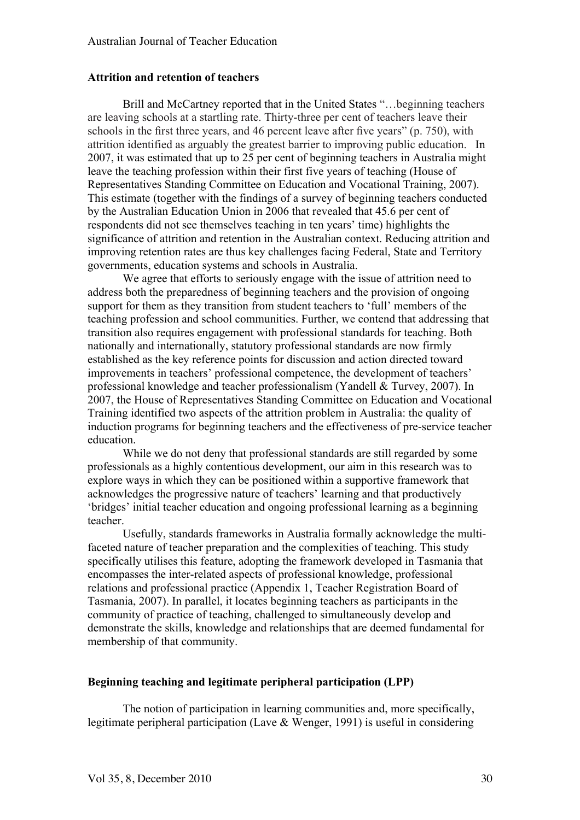## **Attrition and retention of teachers**

Brill and McCartney reported that in the United States "…beginning teachers are leaving schools at a startling rate. Thirty-three per cent of teachers leave their schools in the first three years, and 46 percent leave after five years" (p. 750), with attrition identified as arguably the greatest barrier to improving public education. In 2007, it was estimated that up to 25 per cent of beginning teachers in Australia might leave the teaching profession within their first five years of teaching (House of Representatives Standing Committee on Education and Vocational Training, 2007). This estimate (together with the findings of a survey of beginning teachers conducted by the Australian Education Union in 2006 that revealed that 45.6 per cent of respondents did not see themselves teaching in ten years' time) highlights the significance of attrition and retention in the Australian context. Reducing attrition and improving retention rates are thus key challenges facing Federal, State and Territory governments, education systems and schools in Australia.

We agree that efforts to seriously engage with the issue of attrition need to address both the preparedness of beginning teachers and the provision of ongoing support for them as they transition from student teachers to 'full' members of the teaching profession and school communities. Further, we contend that addressing that transition also requires engagement with professional standards for teaching. Both nationally and internationally, statutory professional standards are now firmly established as the key reference points for discussion and action directed toward improvements in teachers' professional competence, the development of teachers' professional knowledge and teacher professionalism (Yandell & Turvey, 2007). In 2007, the House of Representatives Standing Committee on Education and Vocational Training identified two aspects of the attrition problem in Australia: the quality of induction programs for beginning teachers and the effectiveness of pre-service teacher education.

While we do not deny that professional standards are still regarded by some professionals as a highly contentious development, our aim in this research was to explore ways in which they can be positioned within a supportive framework that acknowledges the progressive nature of teachers' learning and that productively 'bridges' initial teacher education and ongoing professional learning as a beginning teacher.

Usefully, standards frameworks in Australia formally acknowledge the multifaceted nature of teacher preparation and the complexities of teaching. This study specifically utilises this feature, adopting the framework developed in Tasmania that encompasses the inter-related aspects of professional knowledge, professional relations and professional practice (Appendix 1, Teacher Registration Board of Tasmania, 2007). In parallel, it locates beginning teachers as participants in the community of practice of teaching, challenged to simultaneously develop and demonstrate the skills, knowledge and relationships that are deemed fundamental for membership of that community.

## **Beginning teaching and legitimate peripheral participation (LPP)**

The notion of participation in learning communities and, more specifically, legitimate peripheral participation (Lave & Wenger, 1991) is useful in considering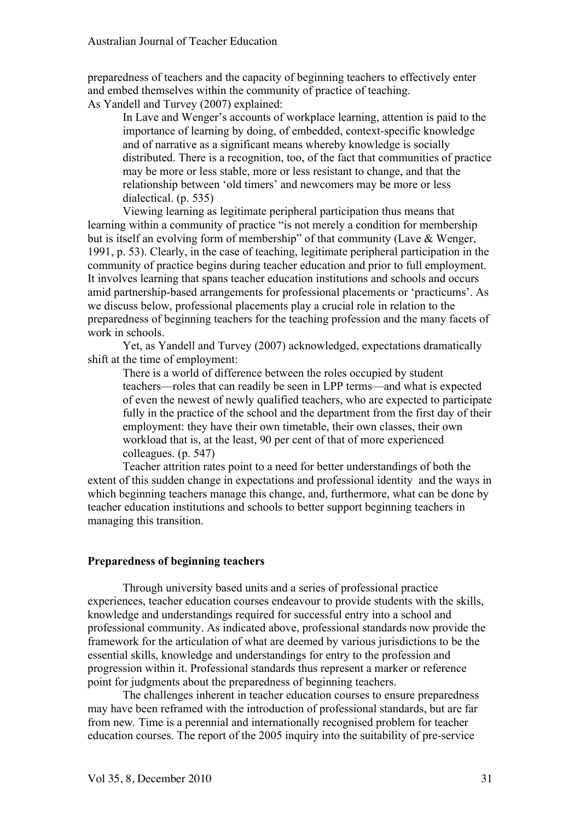preparedness of teachers and the capacity of beginning teachers to effectively enter and embed themselves within the community of practice of teaching. As Yandell and Turvey (2007) explained:

In Lave and Wenger's accounts of workplace learning, attention is paid to the importance of learning by doing, of embedded, context-specific knowledge and of narrative as a significant means whereby knowledge is socially distributed. There is a recognition, too, of the fact that communities of practice may be more or less stable, more or less resistant to change, and that the relationship between 'old timers' and newcomers may be more or less dialectical. (p. 535)

Viewing learning as legitimate peripheral participation thus means that learning within a community of practice "is not merely a condition for membership but is itself an evolving form of membership" of that community (Lave & Wenger, 1991, p. 53). Clearly, in the case of teaching, legitimate peripheral participation in the community of practice begins during teacher education and prior to full employment. It involves learning that spans teacher education institutions and schools and occurs amid partnership-based arrangements for professional placements or 'practicums'. As we discuss below, professional placements play a crucial role in relation to the preparedness of beginning teachers for the teaching profession and the many facets of work in schools.

Yet, as Yandell and Turvey (2007) acknowledged, expectations dramatically shift at the time of employment:

There is a world of difference between the roles occupied by student teachers—roles that can readily be seen in LPP terms—and what is expected of even the newest of newly qualified teachers, who are expected to participate fully in the practice of the school and the department from the first day of their employment: they have their own timetable, their own classes, their own workload that is, at the least, 90 per cent of that of more experienced colleagues. (p. 547)

Teacher attrition rates point to a need for better understandings of both the extent of this sudden change in expectations and professional identity and the ways in which beginning teachers manage this change, and, furthermore, what can be done by teacher education institutions and schools to better support beginning teachers in managing this transition.

## **Preparedness of beginning teachers**

Through university based units and a series of professional practice experiences, teacher education courses endeavour to provide students with the skills, knowledge and understandings required for successful entry into a school and professional community. As indicated above, professional standards now provide the framework for the articulation of what are deemed by various jurisdictions to be the essential skills, knowledge and understandings for entry to the profession and progression within it. Professional standards thus represent a marker or reference point for judgments about the preparedness of beginning teachers.

The challenges inherent in teacher education courses to ensure preparedness may have been reframed with the introduction of professional standards, but are far from new*.* Time is a perennial and internationally recognised problem for teacher education courses. The report of the 2005 inquiry into the suitability of pre-service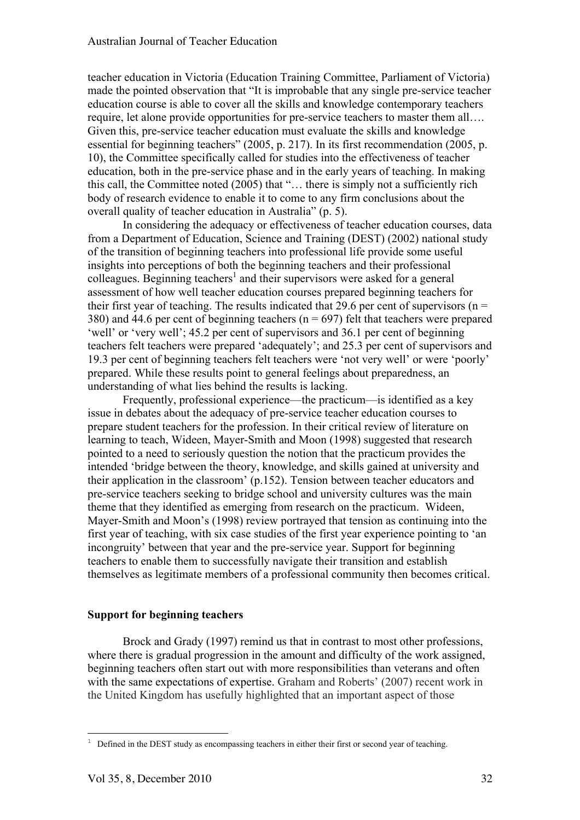teacher education in Victoria (Education Training Committee, Parliament of Victoria) made the pointed observation that "It is improbable that any single pre-service teacher education course is able to cover all the skills and knowledge contemporary teachers require, let alone provide opportunities for pre-service teachers to master them all…. Given this, pre-service teacher education must evaluate the skills and knowledge essential for beginning teachers" (2005, p. 217). In its first recommendation (2005, p. 10), the Committee specifically called for studies into the effectiveness of teacher education, both in the pre-service phase and in the early years of teaching. In making this call, the Committee noted (2005) that "… there is simply not a sufficiently rich body of research evidence to enable it to come to any firm conclusions about the overall quality of teacher education in Australia" (p. 5).

In considering the adequacy or effectiveness of teacher education courses, data from a Department of Education, Science and Training (DEST) (2002) national study of the transition of beginning teachers into professional life provide some useful insights into perceptions of both the beginning teachers and their professional colleagues. Beginning teachers<sup>1</sup> and their supervisors were asked for a general assessment of how well teacher education courses prepared beginning teachers for their first year of teaching. The results indicated that 29.6 per cent of supervisors ( $n =$ 380) and 44.6 per cent of beginning teachers ( $n = 697$ ) felt that teachers were prepared 'well' or 'very well'; 45.2 per cent of supervisors and 36.1 per cent of beginning teachers felt teachers were prepared 'adequately'; and 25.3 per cent of supervisors and 19.3 per cent of beginning teachers felt teachers were 'not very well' or were 'poorly' prepared. While these results point to general feelings about preparedness, an understanding of what lies behind the results is lacking.

Frequently, professional experience—the practicum—is identified as a key issue in debates about the adequacy of pre-service teacher education courses to prepare student teachers for the profession. In their critical review of literature on learning to teach, Wideen, Mayer-Smith and Moon (1998) suggested that research pointed to a need to seriously question the notion that the practicum provides the intended 'bridge between the theory, knowledge, and skills gained at university and their application in the classroom' (p.152). Tension between teacher educators and pre-service teachers seeking to bridge school and university cultures was the main theme that they identified as emerging from research on the practicum. Wideen, Mayer-Smith and Moon's (1998) review portrayed that tension as continuing into the first year of teaching, with six case studies of the first year experience pointing to 'an incongruity' between that year and the pre-service year. Support for beginning teachers to enable them to successfully navigate their transition and establish themselves as legitimate members of a professional community then becomes critical.

## **Support for beginning teachers**

Brock and Grady (1997) remind us that in contrast to most other professions, where there is gradual progression in the amount and difficulty of the work assigned, beginning teachers often start out with more responsibilities than veterans and often with the same expectations of expertise. Graham and Roberts' (2007) recent work in the United Kingdom has usefully highlighted that an important aspect of those

i

 $1$  Defined in the DEST study as encompassing teachers in either their first or second year of teaching.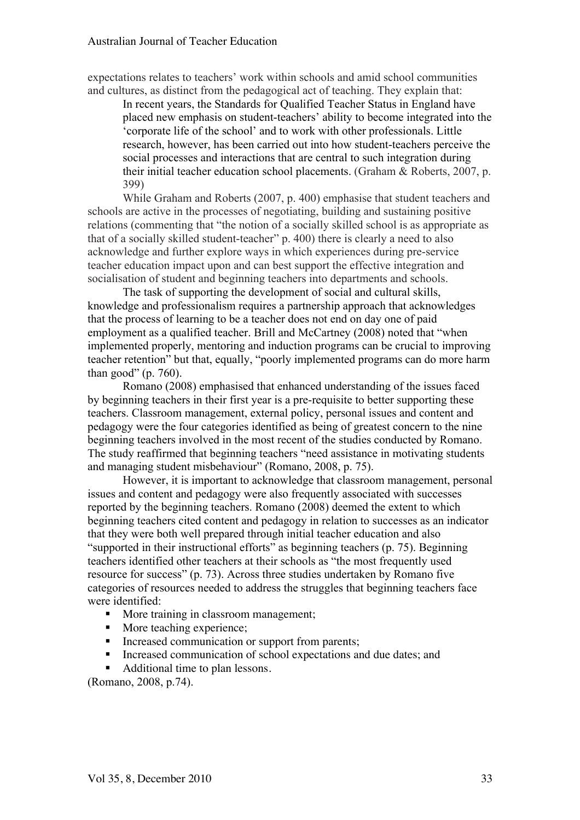#### Australian Journal of Teacher Education

expectations relates to teachers' work within schools and amid school communities and cultures, as distinct from the pedagogical act of teaching. They explain that:

In recent years, the Standards for Qualified Teacher Status in England have placed new emphasis on student-teachers' ability to become integrated into the 'corporate life of the school' and to work with other professionals. Little research, however, has been carried out into how student-teachers perceive the social processes and interactions that are central to such integration during their initial teacher education school placements. (Graham & Roberts, 2007, p. 399)

While Graham and Roberts (2007, p. 400) emphasise that student teachers and schools are active in the processes of negotiating, building and sustaining positive relations (commenting that "the notion of a socially skilled school is as appropriate as that of a socially skilled student-teacher" p. 400) there is clearly a need to also acknowledge and further explore ways in which experiences during pre-service teacher education impact upon and can best support the effective integration and socialisation of student and beginning teachers into departments and schools.

The task of supporting the development of social and cultural skills, knowledge and professionalism requires a partnership approach that acknowledges that the process of learning to be a teacher does not end on day one of paid employment as a qualified teacher. Brill and McCartney (2008) noted that "when implemented properly, mentoring and induction programs can be crucial to improving teacher retention" but that, equally, "poorly implemented programs can do more harm than good" (p. 760).

Romano (2008) emphasised that enhanced understanding of the issues faced by beginning teachers in their first year is a pre-requisite to better supporting these teachers. Classroom management, external policy, personal issues and content and pedagogy were the four categories identified as being of greatest concern to the nine beginning teachers involved in the most recent of the studies conducted by Romano. The study reaffirmed that beginning teachers "need assistance in motivating students and managing student misbehaviour" (Romano, 2008, p. 75).

However, it is important to acknowledge that classroom management, personal issues and content and pedagogy were also frequently associated with successes reported by the beginning teachers. Romano (2008) deemed the extent to which beginning teachers cited content and pedagogy in relation to successes as an indicator that they were both well prepared through initial teacher education and also "supported in their instructional efforts" as beginning teachers (p. 75). Beginning teachers identified other teachers at their schools as "the most frequently used resource for success" (p. 73). Across three studies undertaken by Romano five categories of resources needed to address the struggles that beginning teachers face were identified:

- More training in classroom management;
- More teaching experience;
- Increased communication or support from parents;
- Increased communication of school expectations and due dates; and
- Additional time to plan lessons.

(Romano, 2008, p.74).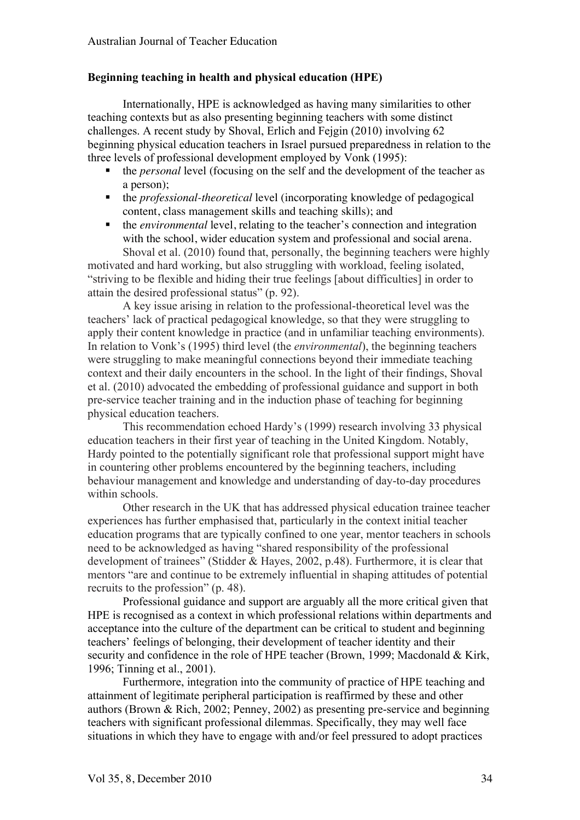## **Beginning teaching in health and physical education (HPE)**

Internationally, HPE is acknowledged as having many similarities to other teaching contexts but as also presenting beginning teachers with some distinct challenges. A recent study by Shoval, Erlich and Fejgin (2010) involving 62 beginning physical education teachers in Israel pursued preparedness in relation to the three levels of professional development employed by Vonk (1995):

- the *personal* level (focusing on the self and the development of the teacher as a person);
- the *professional-theoretical* level (incorporating knowledge of pedagogical content, class management skills and teaching skills); and
- the *environmental* level, relating to the teacher's connection and integration with the school, wider education system and professional and social arena. Shoval et al. (2010) found that, personally, the beginning teachers were highly

motivated and hard working, but also struggling with workload, feeling isolated, "striving to be flexible and hiding their true feelings [about difficulties] in order to attain the desired professional status" (p. 92).

A key issue arising in relation to the professional-theoretical level was the teachers' lack of practical pedagogical knowledge, so that they were struggling to apply their content knowledge in practice (and in unfamiliar teaching environments). In relation to Vonk's (1995) third level (the *environmental*), the beginning teachers were struggling to make meaningful connections beyond their immediate teaching context and their daily encounters in the school. In the light of their findings, Shoval et al. (2010) advocated the embedding of professional guidance and support in both pre-service teacher training and in the induction phase of teaching for beginning physical education teachers.

This recommendation echoed Hardy's (1999) research involving 33 physical education teachers in their first year of teaching in the United Kingdom. Notably, Hardy pointed to the potentially significant role that professional support might have in countering other problems encountered by the beginning teachers, including behaviour management and knowledge and understanding of day-to-day procedures within schools.

Other research in the UK that has addressed physical education trainee teacher experiences has further emphasised that, particularly in the context initial teacher education programs that are typically confined to one year, mentor teachers in schools need to be acknowledged as having "shared responsibility of the professional development of trainees" (Stidder & Hayes, 2002, p.48). Furthermore, it is clear that mentors "are and continue to be extremely influential in shaping attitudes of potential recruits to the profession" (p. 48).

Professional guidance and support are arguably all the more critical given that HPE is recognised as a context in which professional relations within departments and acceptance into the culture of the department can be critical to student and beginning teachers' feelings of belonging, their development of teacher identity and their security and confidence in the role of HPE teacher (Brown, 1999; Macdonald & Kirk, 1996; Tinning et al., 2001).

Furthermore, integration into the community of practice of HPE teaching and attainment of legitimate peripheral participation is reaffirmed by these and other authors (Brown & Rich, 2002; Penney, 2002) as presenting pre-service and beginning teachers with significant professional dilemmas. Specifically, they may well face situations in which they have to engage with and/or feel pressured to adopt practices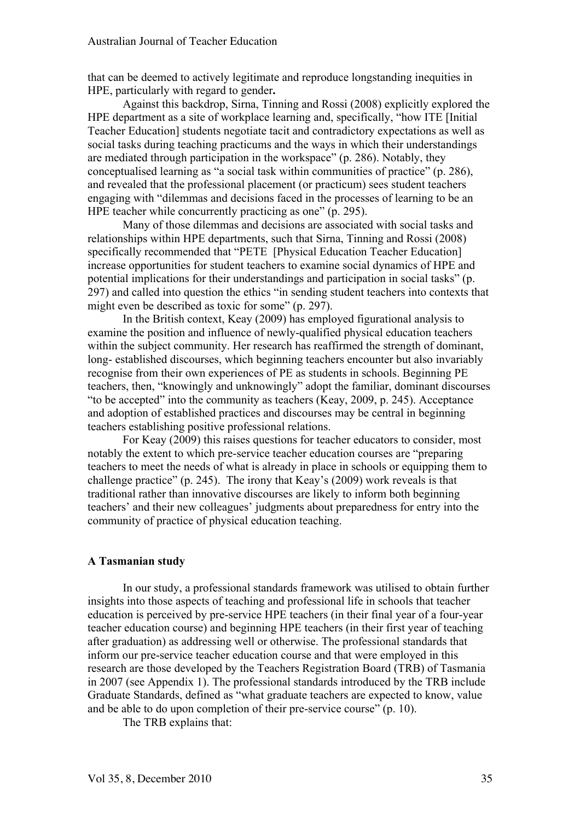that can be deemed to actively legitimate and reproduce longstanding inequities in HPE, particularly with regard to gender**.**

Against this backdrop, Sirna, Tinning and Rossi (2008) explicitly explored the HPE department as a site of workplace learning and, specifically, "how ITE [Initial Teacher Education] students negotiate tacit and contradictory expectations as well as social tasks during teaching practicums and the ways in which their understandings are mediated through participation in the workspace" (p. 286). Notably, they conceptualised learning as "a social task within communities of practice" (p. 286), and revealed that the professional placement (or practicum) sees student teachers engaging with "dilemmas and decisions faced in the processes of learning to be an HPE teacher while concurrently practicing as one" (p. 295).

Many of those dilemmas and decisions are associated with social tasks and relationships within HPE departments, such that Sirna, Tinning and Rossi (2008) specifically recommended that "PETE [Physical Education Teacher Education] increase opportunities for student teachers to examine social dynamics of HPE and potential implications for their understandings and participation in social tasks" (p. 297) and called into question the ethics "in sending student teachers into contexts that might even be described as toxic for some" (p. 297).

In the British context, Keay (2009) has employed figurational analysis to examine the position and influence of newly-qualified physical education teachers within the subject community. Her research has reaffirmed the strength of dominant, long- established discourses, which beginning teachers encounter but also invariably recognise from their own experiences of PE as students in schools. Beginning PE teachers, then, "knowingly and unknowingly" adopt the familiar, dominant discourses "to be accepted" into the community as teachers (Keay, 2009, p. 245). Acceptance and adoption of established practices and discourses may be central in beginning teachers establishing positive professional relations.

For Keay (2009) this raises questions for teacher educators to consider, most notably the extent to which pre-service teacher education courses are "preparing teachers to meet the needs of what is already in place in schools or equipping them to challenge practice" (p. 245). The irony that Keay's (2009) work reveals is that traditional rather than innovative discourses are likely to inform both beginning teachers' and their new colleagues' judgments about preparedness for entry into the community of practice of physical education teaching.

## **A Tasmanian study**

In our study, a professional standards framework was utilised to obtain further insights into those aspects of teaching and professional life in schools that teacher education is perceived by pre-service HPE teachers (in their final year of a four-year teacher education course) and beginning HPE teachers (in their first year of teaching after graduation) as addressing well or otherwise. The professional standards that inform our pre-service teacher education course and that were employed in this research are those developed by the Teachers Registration Board (TRB) of Tasmania in 2007 (see Appendix 1). The professional standards introduced by the TRB include Graduate Standards, defined as "what graduate teachers are expected to know, value and be able to do upon completion of their pre-service course" (p. 10).

The TRB explains that: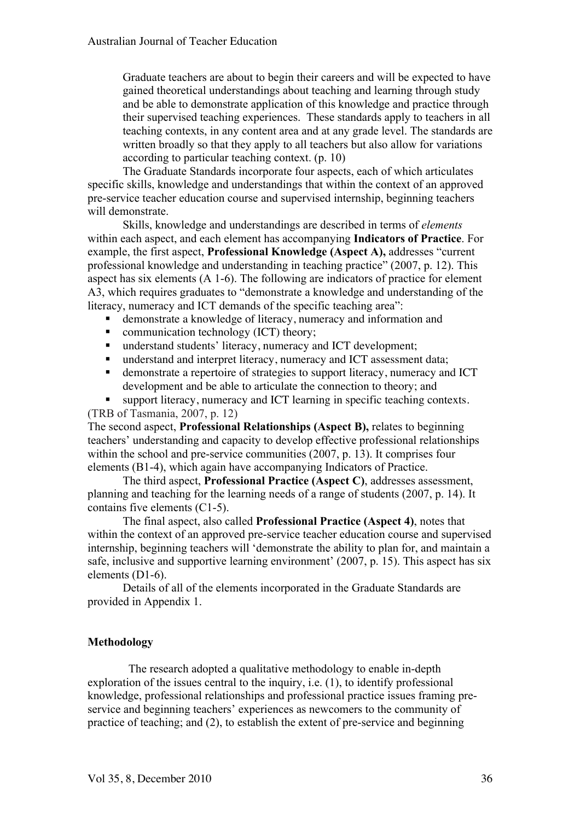Graduate teachers are about to begin their careers and will be expected to have gained theoretical understandings about teaching and learning through study and be able to demonstrate application of this knowledge and practice through their supervised teaching experiences. These standards apply to teachers in all teaching contexts, in any content area and at any grade level. The standards are written broadly so that they apply to all teachers but also allow for variations according to particular teaching context. (p. 10)

The Graduate Standards incorporate four aspects, each of which articulates specific skills, knowledge and understandings that within the context of an approved pre-service teacher education course and supervised internship, beginning teachers will demonstrate.

Skills, knowledge and understandings are described in terms of *elements* within each aspect, and each element has accompanying **Indicators of Practice**. For example, the first aspect, **Professional Knowledge (Aspect A),** addresses "current professional knowledge and understanding in teaching practice" (2007, p. 12). This aspect has six elements (A 1-6). The following are indicators of practice for element A3, which requires graduates to "demonstrate a knowledge and understanding of the literacy, numeracy and ICT demands of the specific teaching area":

- demonstrate a knowledge of literacy, numeracy and information and
- communication technology (ICT) theory;<br>• understand students' literacy, numeracy as
- understand students' literacy, numeracy and ICT development;
- understand and interpret literacy, numeracy and ICT assessment data;
- demonstrate a repertoire of strategies to support literacy, numeracy and ICT development and be able to articulate the connection to theory; and
- support literacy, numeracy and ICT learning in specific teaching contexts. (TRB of Tasmania, 2007, p. 12)

The second aspect, **Professional Relationships (Aspect B),** relates to beginning teachers' understanding and capacity to develop effective professional relationships within the school and pre-service communities (2007, p. 13). It comprises four

elements (B1-4), which again have accompanying Indicators of Practice.

The third aspect, **Professional Practice (Aspect C)**, addresses assessment, planning and teaching for the learning needs of a range of students (2007, p. 14). It contains five elements (C1-5).

The final aspect, also called **Professional Practice (Aspect 4)**, notes that within the context of an approved pre-service teacher education course and supervised internship, beginning teachers will 'demonstrate the ability to plan for, and maintain a safe, inclusive and supportive learning environment' (2007, p. 15). This aspect has six elements (D1-6).

Details of all of the elements incorporated in the Graduate Standards are provided in Appendix 1.

## **Methodology**

The research adopted a qualitative methodology to enable in-depth exploration of the issues central to the inquiry, i.e. (1), to identify professional knowledge, professional relationships and professional practice issues framing preservice and beginning teachers' experiences as newcomers to the community of practice of teaching; and (2), to establish the extent of pre-service and beginning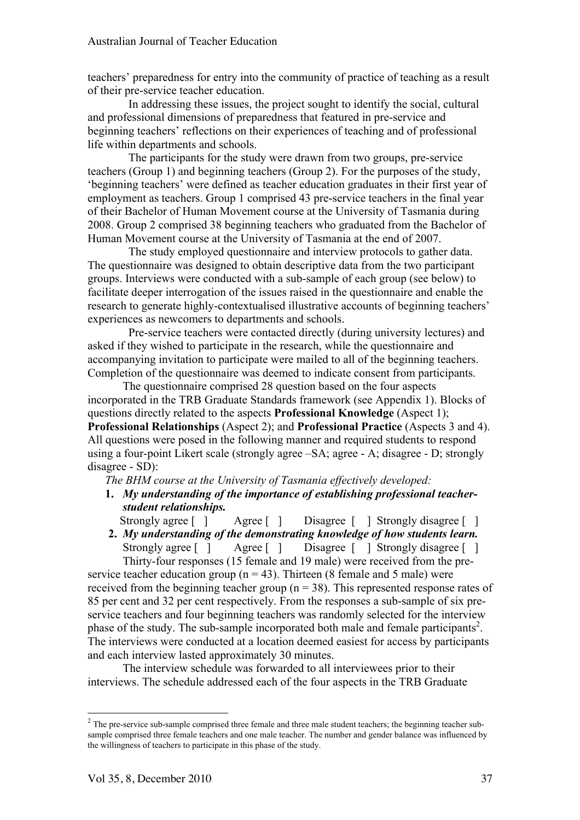teachers' preparedness for entry into the community of practice of teaching as a result of their pre-service teacher education.

In addressing these issues, the project sought to identify the social, cultural and professional dimensions of preparedness that featured in pre-service and beginning teachers' reflections on their experiences of teaching and of professional life within departments and schools.

The participants for the study were drawn from two groups, pre-service teachers (Group 1) and beginning teachers (Group 2). For the purposes of the study, 'beginning teachers' were defined as teacher education graduates in their first year of employment as teachers. Group 1 comprised 43 pre-service teachers in the final year of their Bachelor of Human Movement course at the University of Tasmania during 2008. Group 2 comprised 38 beginning teachers who graduated from the Bachelor of Human Movement course at the University of Tasmania at the end of 2007.

The study employed questionnaire and interview protocols to gather data. The questionnaire was designed to obtain descriptive data from the two participant groups. Interviews were conducted with a sub-sample of each group (see below) to facilitate deeper interrogation of the issues raised in the questionnaire and enable the research to generate highly-contextualised illustrative accounts of beginning teachers' experiences as newcomers to departments and schools.

Pre-service teachers were contacted directly (during university lectures) and asked if they wished to participate in the research, while the questionnaire and accompanying invitation to participate were mailed to all of the beginning teachers. Completion of the questionnaire was deemed to indicate consent from participants.

The questionnaire comprised 28 question based on the four aspects incorporated in the TRB Graduate Standards framework (see Appendix 1). Blocks of questions directly related to the aspects **Professional Knowledge** (Aspect 1); **Professional Relationships** (Aspect 2); and **Professional Practice** (Aspects 3 and 4). All questions were posed in the following manner and required students to respond using a four-point Likert scale (strongly agree –SA; agree - A; disagree - D; strongly disagree - SD):

*The BHM course at the University of Tasmania effectively developed:*

- **1.** *My understanding of the importance of establishing professional teacherstudent relationships.*
- Strongly agree [ ] Agree [ ] Disagree [ ] Strongly disagree [ ] **2.** *My understanding of the demonstrating knowledge of how students learn.*

Strongly agree [ ] Agree [ ] Disagree [ ] Strongly disagree [ ] Thirty-four responses (15 female and 19 male) were received from the preservice teacher education group ( $n = 43$ ). Thirteen (8 female and 5 male) were received from the beginning teacher group ( $n = 38$ ). This represented response rates of 85 per cent and 32 per cent respectively. From the responses a sub-sample of six preservice teachers and four beginning teachers was randomly selected for the interview phase of the study. The sub-sample incorporated both male and female participants<sup>2</sup>. The interviews were conducted at a location deemed easiest for access by participants and each interview lasted approximately 30 minutes.

The interview schedule was forwarded to all interviewees prior to their interviews. The schedule addressed each of the four aspects in the TRB Graduate

i

<sup>&</sup>lt;sup>2</sup> The pre-service sub-sample comprised three female and three male student teachers; the beginning teacher subsample comprised three female teachers and one male teacher. The number and gender balance was influenced by the willingness of teachers to participate in this phase of the study.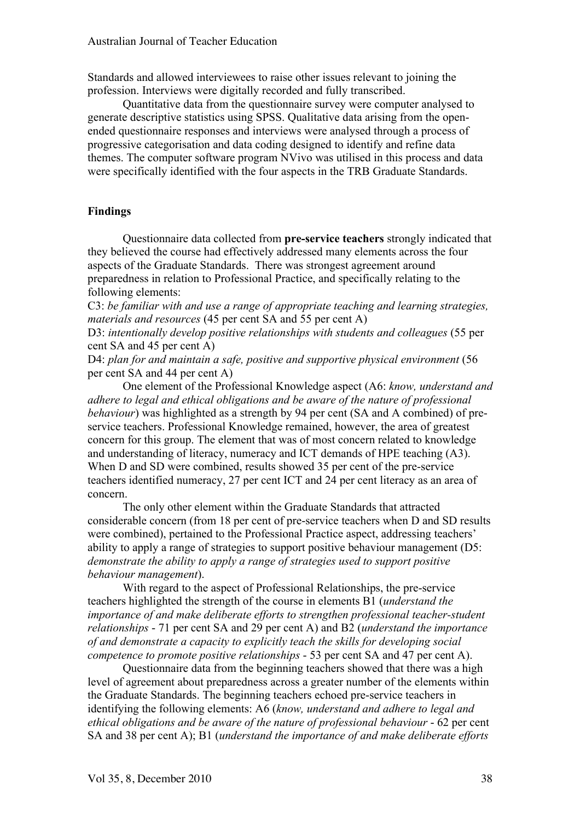Standards and allowed interviewees to raise other issues relevant to joining the profession. Interviews were digitally recorded and fully transcribed.

Quantitative data from the questionnaire survey were computer analysed to generate descriptive statistics using SPSS. Qualitative data arising from the openended questionnaire responses and interviews were analysed through a process of progressive categorisation and data coding designed to identify and refine data themes. The computer software program NVivo was utilised in this process and data were specifically identified with the four aspects in the TRB Graduate Standards.

## **Findings**

Questionnaire data collected from **pre-service teachers** strongly indicated that they believed the course had effectively addressed many elements across the four aspects of the Graduate Standards. There was strongest agreement around preparedness in relation to Professional Practice, and specifically relating to the following elements:

C3: *be familiar with and use a range of appropriate teaching and learning strategies, materials and resources* (45 per cent SA and 55 per cent A)

D3: *intentionally develop positive relationships with students and colleagues* (55 per cent SA and 45 per cent A)

D4: *plan for and maintain a safe, positive and supportive physical environment* (56 per cent SA and 44 per cent A)

One element of the Professional Knowledge aspect (A6: *know, understand and adhere to legal and ethical obligations and be aware of the nature of professional behaviour*) was highlighted as a strength by 94 per cent (SA and A combined) of preservice teachers. Professional Knowledge remained, however, the area of greatest concern for this group. The element that was of most concern related to knowledge and understanding of literacy, numeracy and ICT demands of HPE teaching (A3). When D and SD were combined, results showed 35 per cent of the pre-service teachers identified numeracy, 27 per cent ICT and 24 per cent literacy as an area of concern.

The only other element within the Graduate Standards that attracted considerable concern (from 18 per cent of pre-service teachers when D and SD results were combined), pertained to the Professional Practice aspect, addressing teachers' ability to apply a range of strategies to support positive behaviour management (D5: *demonstrate the ability to apply a range of strategies used to support positive behaviour management*).

With regard to the aspect of Professional Relationships, the pre-service teachers highlighted the strength of the course in elements B1 (*understand the importance of and make deliberate efforts to strengthen professional teacher-student relationships* - 71 per cent SA and 29 per cent A) and B2 (*understand the importance of and demonstrate a capacity to explicitly teach the skills for developing social competence to promote positive relationships* - 53 per cent SA and 47 per cent A).

Questionnaire data from the beginning teachers showed that there was a high level of agreement about preparedness across a greater number of the elements within the Graduate Standards. The beginning teachers echoed pre-service teachers in identifying the following elements: A6 (*know, understand and adhere to legal and ethical obligations and be aware of the nature of professional behaviour* - 62 per cent SA and 38 per cent A); B1 (*understand the importance of and make deliberate efforts*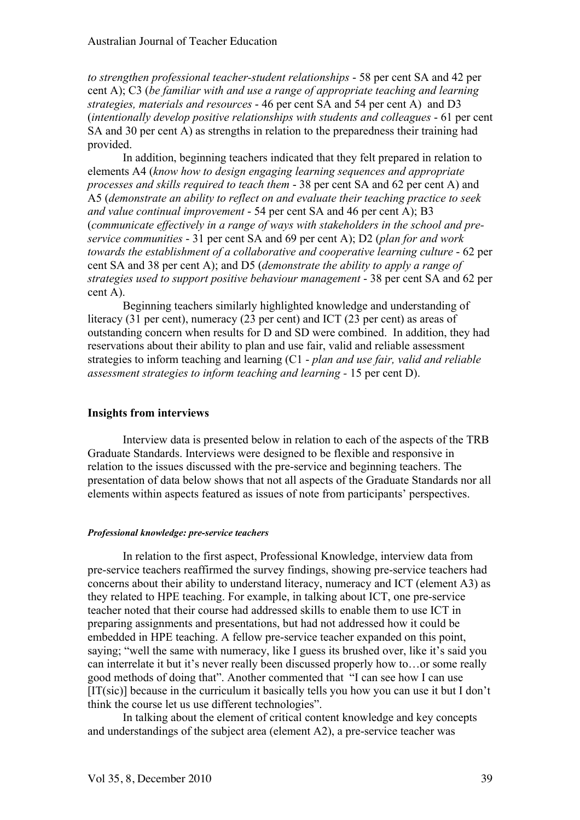*to strengthen professional teacher-student relationships* - 58 per cent SA and 42 per cent A); C3 (*be familiar with and use a range of appropriate teaching and learning strategies, materials and resources* - 46 per cent SA and 54 per cent A) and D3 (*intentionally develop positive relationships with students and colleagues* - 61 per cent SA and 30 per cent A) as strengths in relation to the preparedness their training had provided.

In addition, beginning teachers indicated that they felt prepared in relation to elements A4 (*know how to design engaging learning sequences and appropriate processes and skills required to teach them* - 38 per cent SA and 62 per cent A) and A5 (*demonstrate an ability to reflect on and evaluate their teaching practice to seek and value continual improvement* - 54 per cent SA and 46 per cent A); B3 (*communicate effectively in a range of ways with stakeholders in the school and preservice communities* - 31 per cent SA and 69 per cent A); D2 (*plan for and work towards the establishment of a collaborative and cooperative learning culture* - 62 per cent SA and 38 per cent A); and D5 (*demonstrate the ability to apply a range of strategies used to support positive behaviour management* - 38 per cent SA and 62 per cent A).

Beginning teachers similarly highlighted knowledge and understanding of literacy (31 per cent), numeracy (23 per cent) and ICT (23 per cent) as areas of outstanding concern when results for D and SD were combined. In addition, they had reservations about their ability to plan and use fair, valid and reliable assessment strategies to inform teaching and learning (C1 - *plan and use fair, valid and reliable assessment strategies to inform teaching and learning -* 15 per cent D).

## **Insights from interviews**

Interview data is presented below in relation to each of the aspects of the TRB Graduate Standards. Interviews were designed to be flexible and responsive in relation to the issues discussed with the pre-service and beginning teachers. The presentation of data below shows that not all aspects of the Graduate Standards nor all elements within aspects featured as issues of note from participants' perspectives.

#### *Professional knowledge: pre-service teachers*

In relation to the first aspect, Professional Knowledge, interview data from pre-service teachers reaffirmed the survey findings, showing pre-service teachers had concerns about their ability to understand literacy, numeracy and ICT (element A3) as they related to HPE teaching. For example, in talking about ICT, one pre-service teacher noted that their course had addressed skills to enable them to use ICT in preparing assignments and presentations, but had not addressed how it could be embedded in HPE teaching. A fellow pre-service teacher expanded on this point, saying; "well the same with numeracy, like I guess its brushed over, like it's said you can interrelate it but it's never really been discussed properly how to…or some really good methods of doing that". Another commented that "I can see how I can use  $[IT(sic)]$  because in the curriculum it basically tells you how you can use it but I don't think the course let us use different technologies".

In talking about the element of critical content knowledge and key concepts and understandings of the subject area (element A2), a pre-service teacher was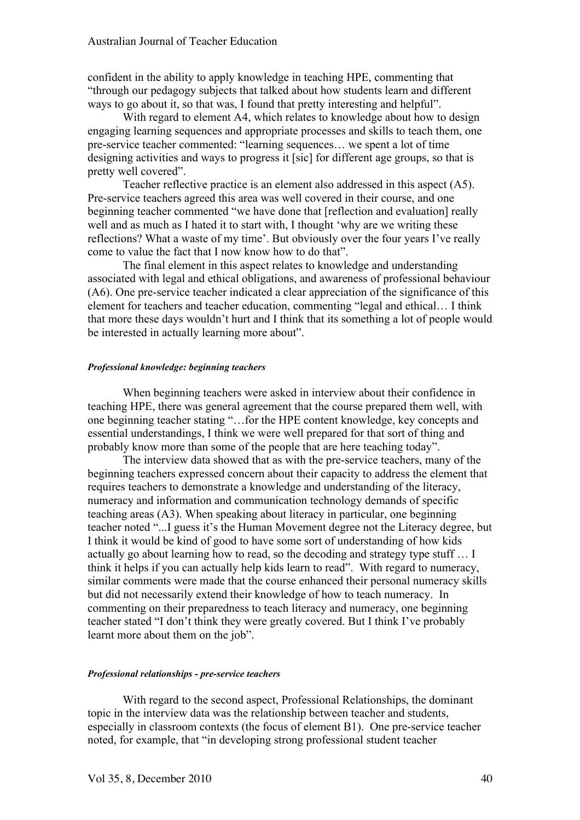confident in the ability to apply knowledge in teaching HPE, commenting that "through our pedagogy subjects that talked about how students learn and different ways to go about it, so that was, I found that pretty interesting and helpful".

With regard to element A4, which relates to knowledge about how to design engaging learning sequences and appropriate processes and skills to teach them, one pre-service teacher commented: "learning sequences… we spent a lot of time designing activities and ways to progress it [sic] for different age groups, so that is pretty well covered".

Teacher reflective practice is an element also addressed in this aspect (A5). Pre-service teachers agreed this area was well covered in their course, and one beginning teacher commented "we have done that [reflection and evaluation] really well and as much as I hated it to start with, I thought 'why are we writing these reflections? What a waste of my time'. But obviously over the four years I've really come to value the fact that I now know how to do that".

The final element in this aspect relates to knowledge and understanding associated with legal and ethical obligations, and awareness of professional behaviour (A6). One pre-service teacher indicated a clear appreciation of the significance of this element for teachers and teacher education, commenting "legal and ethical… I think that more these days wouldn't hurt and I think that its something a lot of people would be interested in actually learning more about".

#### *Professional knowledge: beginning teachers*

When beginning teachers were asked in interview about their confidence in teaching HPE, there was general agreement that the course prepared them well, with one beginning teacher stating "…for the HPE content knowledge, key concepts and essential understandings, I think we were well prepared for that sort of thing and probably know more than some of the people that are here teaching today".

The interview data showed that as with the pre-service teachers, many of the beginning teachers expressed concern about their capacity to address the element that requires teachers to demonstrate a knowledge and understanding of the literacy, numeracy and information and communication technology demands of specific teaching areas (A3). When speaking about literacy in particular, one beginning teacher noted "...I guess it's the Human Movement degree not the Literacy degree, but I think it would be kind of good to have some sort of understanding of how kids actually go about learning how to read, so the decoding and strategy type stuff … I think it helps if you can actually help kids learn to read". With regard to numeracy, similar comments were made that the course enhanced their personal numeracy skills but did not necessarily extend their knowledge of how to teach numeracy. In commenting on their preparedness to teach literacy and numeracy, one beginning teacher stated "I don't think they were greatly covered. But I think I've probably learnt more about them on the job".

#### *Professional relationships - pre-service teachers*

With regard to the second aspect, Professional Relationships, the dominant topic in the interview data was the relationship between teacher and students, especially in classroom contexts (the focus of element B1). One pre-service teacher noted, for example, that "in developing strong professional student teacher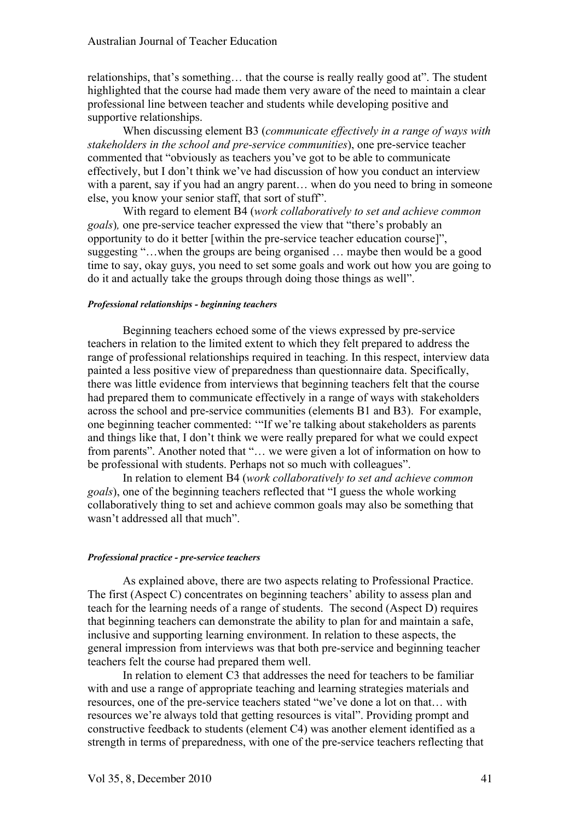relationships, that's something… that the course is really really good at". The student highlighted that the course had made them very aware of the need to maintain a clear professional line between teacher and students while developing positive and supportive relationships.

When discussing element B3 (*communicate effectively in a range of ways with stakeholders in the school and pre-service communities*), one pre-service teacher commented that "obviously as teachers you've got to be able to communicate effectively, but I don't think we've had discussion of how you conduct an interview with a parent, say if you had an angry parent… when do you need to bring in someone else, you know your senior staff, that sort of stuff".

With regard to element B4 (*work collaboratively to set and achieve common goals*)*,* one pre-service teacher expressed the view that "there's probably an opportunity to do it better [within the pre-service teacher education course]", suggesting "…when the groups are being organised … maybe then would be a good time to say, okay guys, you need to set some goals and work out how you are going to do it and actually take the groups through doing those things as well".

#### *Professional relationships - beginning teachers*

Beginning teachers echoed some of the views expressed by pre-service teachers in relation to the limited extent to which they felt prepared to address the range of professional relationships required in teaching. In this respect, interview data painted a less positive view of preparedness than questionnaire data. Specifically, there was little evidence from interviews that beginning teachers felt that the course had prepared them to communicate effectively in a range of ways with stakeholders across the school and pre-service communities (elements B1 and B3). For example, one beginning teacher commented: '"If we're talking about stakeholders as parents and things like that, I don't think we were really prepared for what we could expect from parents". Another noted that "… we were given a lot of information on how to be professional with students. Perhaps not so much with colleagues".

In relation to element B4 (*work collaboratively to set and achieve common goals*), one of the beginning teachers reflected that "I guess the whole working collaboratively thing to set and achieve common goals may also be something that wasn't addressed all that much".

#### *Professional practice - pre-service teachers*

As explained above, there are two aspects relating to Professional Practice. The first (Aspect C) concentrates on beginning teachers' ability to assess plan and teach for the learning needs of a range of students. The second (Aspect D) requires that beginning teachers can demonstrate the ability to plan for and maintain a safe, inclusive and supporting learning environment. In relation to these aspects, the general impression from interviews was that both pre-service and beginning teacher teachers felt the course had prepared them well.

In relation to element C3 that addresses the need for teachers to be familiar with and use a range of appropriate teaching and learning strategies materials and resources, one of the pre-service teachers stated "we've done a lot on that… with resources we're always told that getting resources is vital". Providing prompt and constructive feedback to students (element C4) was another element identified as a strength in terms of preparedness, with one of the pre-service teachers reflecting that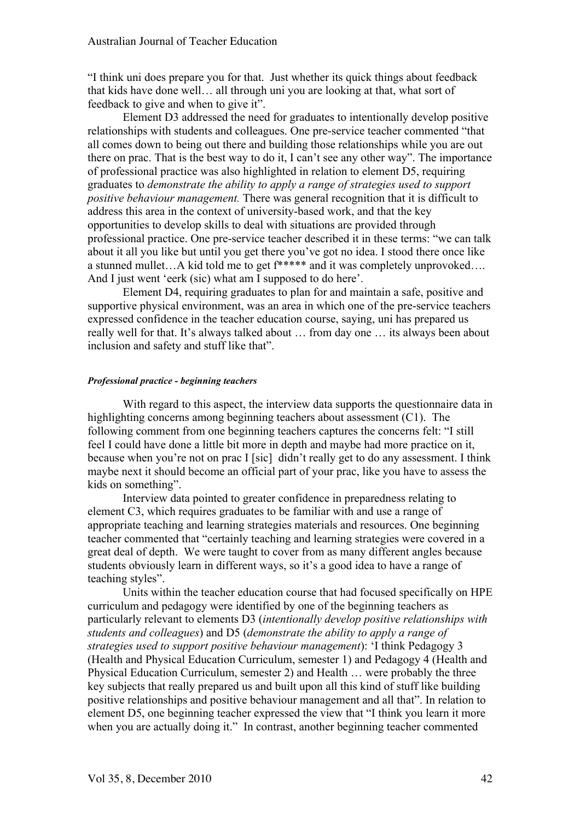"I think uni does prepare you for that. Just whether its quick things about feedback that kids have done well… all through uni you are looking at that, what sort of feedback to give and when to give it".

Element D3 addressed the need for graduates to intentionally develop positive relationships with students and colleagues. One pre-service teacher commented "that all comes down to being out there and building those relationships while you are out there on prac. That is the best way to do it, I can't see any other way". The importance of professional practice was also highlighted in relation to element D5, requiring graduates to *demonstrate the ability to apply a range of strategies used to support positive behaviour management.* There was general recognition that it is difficult to address this area in the context of university-based work, and that the key opportunities to develop skills to deal with situations are provided through professional practice. One pre-service teacher described it in these terms: "we can talk about it all you like but until you get there you've got no idea. I stood there once like a stunned mullet…A kid told me to get f\*\*\*\*\* and it was completely unprovoked…. And I just went 'eerk (sic) what am I supposed to do here'.

Element D4, requiring graduates to plan for and maintain a safe, positive and supportive physical environment, was an area in which one of the pre-service teachers expressed confidence in the teacher education course, saying, uni has prepared us really well for that. It's always talked about … from day one … its always been about inclusion and safety and stuff like that".

## *Professional practice - beginning teachers*

With regard to this aspect, the interview data supports the questionnaire data in highlighting concerns among beginning teachers about assessment (C1). The following comment from one beginning teachers captures the concerns felt: "I still feel I could have done a little bit more in depth and maybe had more practice on it, because when you're not on prac I [sic] didn't really get to do any assessment. I think maybe next it should become an official part of your prac, like you have to assess the kids on something".

Interview data pointed to greater confidence in preparedness relating to element C3, which requires graduates to be familiar with and use a range of appropriate teaching and learning strategies materials and resources. One beginning teacher commented that "certainly teaching and learning strategies were covered in a great deal of depth. We were taught to cover from as many different angles because students obviously learn in different ways, so it's a good idea to have a range of teaching styles".

Units within the teacher education course that had focused specifically on HPE curriculum and pedagogy were identified by one of the beginning teachers as particularly relevant to elements D3 (*intentionally develop positive relationships with students and colleagues*) and D5 (*demonstrate the ability to apply a range of strategies used to support positive behaviour management*): 'I think Pedagogy 3 (Health and Physical Education Curriculum, semester 1) and Pedagogy 4 (Health and Physical Education Curriculum, semester 2) and Health … were probably the three key subjects that really prepared us and built upon all this kind of stuff like building positive relationships and positive behaviour management and all that". In relation to element D5, one beginning teacher expressed the view that "I think you learn it more when you are actually doing it." In contrast, another beginning teacher commented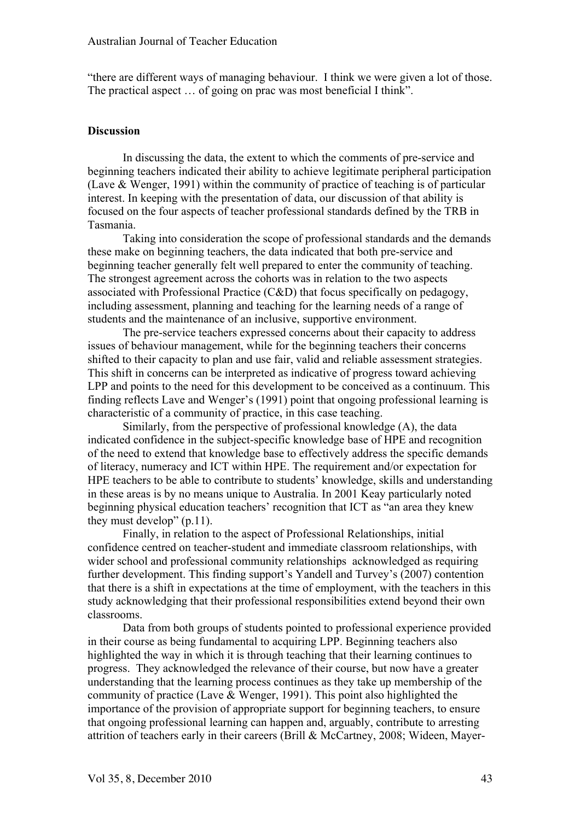"there are different ways of managing behaviour. I think we were given a lot of those. The practical aspect … of going on prac was most beneficial I think".

#### **Discussion**

In discussing the data, the extent to which the comments of pre-service and beginning teachers indicated their ability to achieve legitimate peripheral participation (Lave & Wenger, 1991) within the community of practice of teaching is of particular interest. In keeping with the presentation of data, our discussion of that ability is focused on the four aspects of teacher professional standards defined by the TRB in Tasmania.

Taking into consideration the scope of professional standards and the demands these make on beginning teachers, the data indicated that both pre-service and beginning teacher generally felt well prepared to enter the community of teaching. The strongest agreement across the cohorts was in relation to the two aspects associated with Professional Practice (C&D) that focus specifically on pedagogy, including assessment, planning and teaching for the learning needs of a range of students and the maintenance of an inclusive, supportive environment.

The pre-service teachers expressed concerns about their capacity to address issues of behaviour management, while for the beginning teachers their concerns shifted to their capacity to plan and use fair, valid and reliable assessment strategies. This shift in concerns can be interpreted as indicative of progress toward achieving LPP and points to the need for this development to be conceived as a continuum. This finding reflects Lave and Wenger's (1991) point that ongoing professional learning is characteristic of a community of practice, in this case teaching.

Similarly, from the perspective of professional knowledge (A), the data indicated confidence in the subject-specific knowledge base of HPE and recognition of the need to extend that knowledge base to effectively address the specific demands of literacy, numeracy and ICT within HPE. The requirement and/or expectation for HPE teachers to be able to contribute to students' knowledge, skills and understanding in these areas is by no means unique to Australia. In 2001 Keay particularly noted beginning physical education teachers' recognition that ICT as "an area they knew they must develop" (p.11).

Finally, in relation to the aspect of Professional Relationships, initial confidence centred on teacher-student and immediate classroom relationships, with wider school and professional community relationships acknowledged as requiring further development. This finding support's Yandell and Turvey's (2007) contention that there is a shift in expectations at the time of employment, with the teachers in this study acknowledging that their professional responsibilities extend beyond their own classrooms.

Data from both groups of students pointed to professional experience provided in their course as being fundamental to acquiring LPP. Beginning teachers also highlighted the way in which it is through teaching that their learning continues to progress. They acknowledged the relevance of their course, but now have a greater understanding that the learning process continues as they take up membership of the community of practice (Lave & Wenger, 1991). This point also highlighted the importance of the provision of appropriate support for beginning teachers, to ensure that ongoing professional learning can happen and, arguably, contribute to arresting attrition of teachers early in their careers (Brill & McCartney, 2008; Wideen, Mayer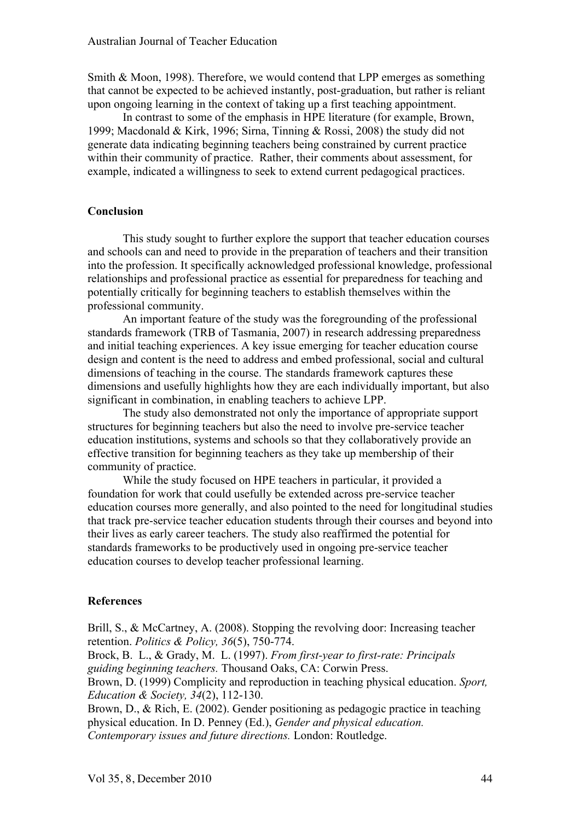Smith & Moon, 1998). Therefore, we would contend that LPP emerges as something that cannot be expected to be achieved instantly, post-graduation, but rather is reliant upon ongoing learning in the context of taking up a first teaching appointment.

In contrast to some of the emphasis in HPE literature (for example, Brown, 1999; Macdonald & Kirk, 1996; Sirna, Tinning & Rossi, 2008) the study did not generate data indicating beginning teachers being constrained by current practice within their community of practice. Rather, their comments about assessment, for example, indicated a willingness to seek to extend current pedagogical practices.

## **Conclusion**

This study sought to further explore the support that teacher education courses and schools can and need to provide in the preparation of teachers and their transition into the profession. It specifically acknowledged professional knowledge, professional relationships and professional practice as essential for preparedness for teaching and potentially critically for beginning teachers to establish themselves within the professional community.

An important feature of the study was the foregrounding of the professional standards framework (TRB of Tasmania, 2007) in research addressing preparedness and initial teaching experiences. A key issue emerging for teacher education course design and content is the need to address and embed professional, social and cultural dimensions of teaching in the course. The standards framework captures these dimensions and usefully highlights how they are each individually important, but also significant in combination, in enabling teachers to achieve LPP.

The study also demonstrated not only the importance of appropriate support structures for beginning teachers but also the need to involve pre-service teacher education institutions, systems and schools so that they collaboratively provide an effective transition for beginning teachers as they take up membership of their community of practice.

While the study focused on HPE teachers in particular, it provided a foundation for work that could usefully be extended across pre-service teacher education courses more generally, and also pointed to the need for longitudinal studies that track pre-service teacher education students through their courses and beyond into their lives as early career teachers. The study also reaffirmed the potential for standards frameworks to be productively used in ongoing pre-service teacher education courses to develop teacher professional learning.

## **References**

Brill, S., & McCartney, A. (2008). Stopping the revolving door: Increasing teacher retention. *Politics & Policy, 36*(5), 750-774.

Brock, B. L., & Grady, M. L. (1997). *From first-year to first-rate: Principals guiding beginning teachers.* Thousand Oaks, CA: Corwin Press.

Brown, D. (1999) Complicity and reproduction in teaching physical education. *Sport, Education & Society, 34*(2), 112-130.

Brown, D., & Rich, E. (2002). Gender positioning as pedagogic practice in teaching physical education. In D. Penney (Ed.), *Gender and physical education. Contemporary issues and future directions.* London: Routledge.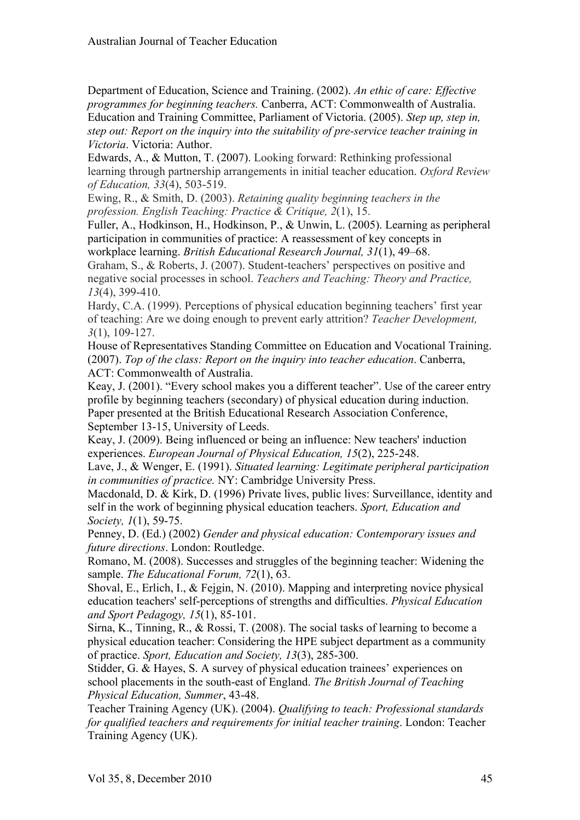Department of Education, Science and Training. (2002). *An ethic of care: Effective programmes for beginning teachers.* Canberra, ACT: Commonwealth of Australia. Education and Training Committee, Parliament of Victoria. (2005). *Step up, step in, step out: Report on the inquiry into the suitability of pre-service teacher training in Victoria*. Victoria: Author.

Edwards, A., & Mutton, T. (2007). Looking forward: Rethinking professional learning through partnership arrangements in initial teacher education. *Oxford Review of Education, 33*(4), 503-519.

Ewing, R., & Smith, D. (2003). *Retaining quality beginning teachers in the profession. English Teaching: Practice & Critique, 2*(1), 15.

Fuller, A., Hodkinson, H., Hodkinson, P., & Unwin, L. (2005). Learning as peripheral participation in communities of practice: A reassessment of key concepts in workplace learning. *British Educational Research Journal, 31*(1), 49–68.

Graham, S., & Roberts, J. (2007). Student-teachers' perspectives on positive and negative social processes in school. *Teachers and Teaching: Theory and Practice, 13*(4), 399-410.

Hardy, C.A. (1999). Perceptions of physical education beginning teachers' first year of teaching: Are we doing enough to prevent early attrition? *Teacher Development, 3*(1), 109-127.

House of Representatives Standing Committee on Education and Vocational Training. (2007). *Top of the class: Report on the inquiry into teacher education*. Canberra, ACT: Commonwealth of Australia.

Keay, J. (2001). "Every school makes you a different teacher". Use of the career entry profile by beginning teachers (secondary) of physical education during induction. Paper presented at the British Educational Research Association Conference, September 13-15, University of Leeds.

Keay, J. (2009). Being influenced or being an influence: New teachers' induction experiences. *European Journal of Physical Education, 15*(2), 225-248.

Lave, J., & Wenger, E. (1991). *Situated learning: Legitimate peripheral participation in communities of practice.* NY: Cambridge University Press.

Macdonald, D. & Kirk, D. (1996) Private lives, public lives: Surveillance, identity and self in the work of beginning physical education teachers. *Sport, Education and Society, 1*(1), 59-75.

Penney, D. (Ed.) (2002) *Gender and physical education: Contemporary issues and future directions*. London: Routledge.

Romano, M. (2008). Successes and struggles of the beginning teacher: Widening the sample. *The Educational Forum, 72*(1), 63.

Shoval, E., Erlich, I., & Fejgin, N. (2010). Mapping and interpreting novice physical education teachers' self-perceptions of strengths and difficulties. *Physical Education and Sport Pedagogy, 15*(1), 85-101.

Sirna, K., Tinning, R., & Rossi, T. (2008). The social tasks of learning to become a physical education teacher: Considering the HPE subject department as a community of practice. *Sport, Education and Society, 13*(3), 285-300.

Stidder, G. & Hayes, S. A survey of physical education trainees' experiences on school placements in the south-east of England. *The British Journal of Teaching Physical Education, Summer*, 43-48.

Teacher Training Agency (UK). (2004). *Qualifying to teach: Professional standards for qualified teachers and requirements for initial teacher training*. London: Teacher Training Agency (UK).